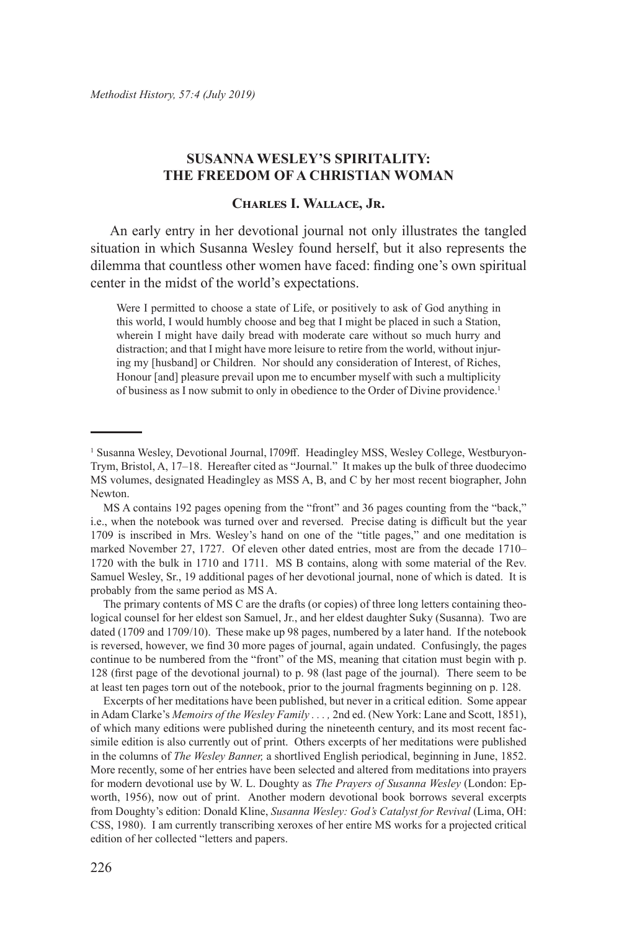# **SUSANNA WESLEY'S SPIRITALITY: THE FREEDOM OF A CHRISTIAN WOMAN**

# **Charles I. Wallace, Jr.**

An early entry in her devotional journal not only illustrates the tangled situation in which Susanna Wesley found herself, but it also represents the dilemma that countless other women have faced: finding one's own spiritual center in the midst of the world's expectations.

Were I permitted to choose a state of Life, or positively to ask of God anything in this world, I would humbly choose and beg that I might be placed in such a Station, wherein I might have daily bread with moderate care without so much hurry and distraction; and that I might have more leisure to retire from the world, without injuring my [husband] or Children. Nor should any consideration of Interest, of Riches, Honour [and] pleasure prevail upon me to encumber myself with such a multiplicity of business as I now submit to only in obedience to the Order of Divine providence.<sup>1</sup>

The primary contents of MS C are the drafts (or copies) of three long letters containing theological counsel for her eldest son Samuel, Jr., and her eldest daughter Suky (Susanna). Two are dated (1709 and 1709/10). These make up 98 pages, numbered by a later hand. If the notebook is reversed, however, we find 30 more pages of journal, again undated. Confusingly, the pages continue to be numbered from the "front" of the MS, meaning that citation must begin with p. 128 (first page of the devotional journal) to p. 98 (last page of the journal). There seem to be at least ten pages torn out of the notebook, prior to the journal fragments beginning on p. 128.

Excerpts of her meditations have been published, but never in a critical edition. Some appear in Adam Clarke's *Memoirs of the Wesley Family . . . ,* 2nd ed. (New York: Lane and Scott, 1851), of which many editions were published during the nineteenth century, and its most recent facsimile edition is also currently out of print. Others excerpts of her meditations were published in the columns of *The Wesley Banner,* a shortlived English periodical, beginning in June, 1852. More recently, some of her entries have been selected and altered from meditations into prayers for modern devotional use by W. L. Doughty as *The Prayers of Susanna Wesley* (London: Epworth, 1956), now out of print. Another modern devotional book borrows several excerpts from Doughty's edition: Donald Kline, *Susanna Wesley: God's Catalyst for Revival* (Lima, OH: CSS, 1980). I am currently transcribing xeroxes of her entire MS works for a projected critical edition of her collected "letters and papers.

<sup>&</sup>lt;sup>1</sup> Susanna Wesley, Devotional Journal, 1709ff. Headingley MSS, Wesley College, Westburyon-Trym, Bristol, A, 17–18. Hereafter cited as "Journal." It makes up the bulk of three duodecimo MS volumes, designated Headingley as MSS A, B, and C by her most recent biographer, John Newton.

MS A contains 192 pages opening from the "front" and 36 pages counting from the "back," i.e., when the notebook was turned over and reversed. Precise dating is difficult but the year 1709 is inscribed in Mrs. Wesley's hand on one of the "title pages," and one meditation is marked November 27, 1727. Of eleven other dated entries, most are from the decade 1710– 1720 with the bulk in 1710 and 1711. MS B contains, along with some material of the Rev. Samuel Wesley, Sr., 19 additional pages of her devotional journal, none of which is dated. It is probably from the same period as MS A.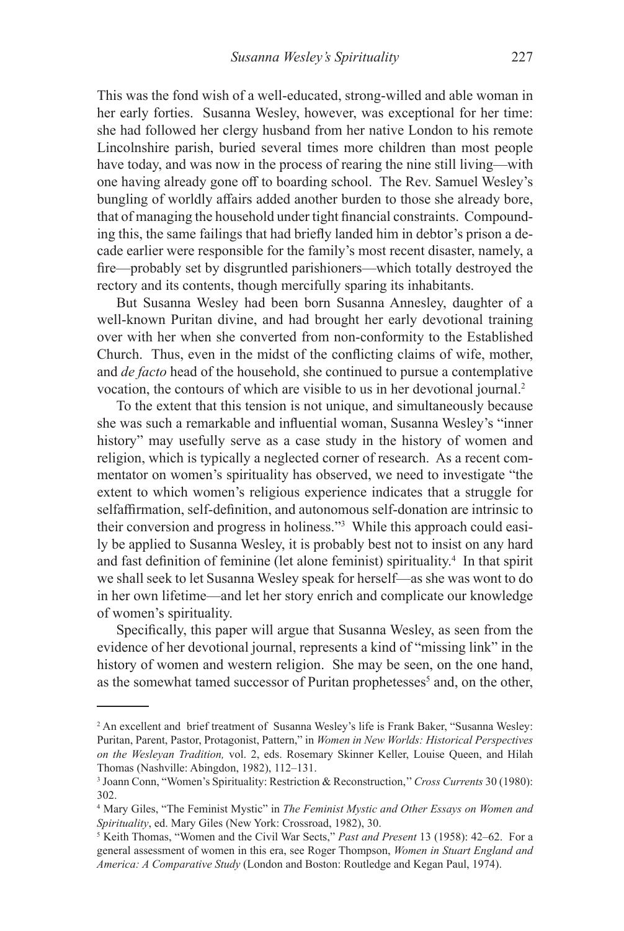This was the fond wish of a well-educated, strong-willed and able woman in her early forties. Susanna Wesley, however, was exceptional for her time: she had followed her clergy husband from her native London to his remote Lincolnshire parish, buried several times more children than most people have today, and was now in the process of rearing the nine still living—with one having already gone off to boarding school. The Rev. Samuel Wesley's bungling of worldly affairs added another burden to those she already bore, that of managing the household under tight financial constraints. Compounding this, the same failings that had briefly landed him in debtor's prison a decade earlier were responsible for the family's most recent disaster, namely, a fire—probably set by disgruntled parishioners—which totally destroyed the rectory and its contents, though mercifully sparing its inhabitants.

But Susanna Wesley had been born Susanna Annesley, daughter of a well-known Puritan divine, and had brought her early devotional training over with her when she converted from non-conformity to the Established Church. Thus, even in the midst of the conflicting claims of wife, mother, and *de facto* head of the household, she continued to pursue a contemplative vocation, the contours of which are visible to us in her devotional journal.<sup>2</sup>

To the extent that this tension is not unique, and simultaneously because she was such a remarkable and influential woman, Susanna Wesley's "inner history" may usefully serve as a case study in the history of women and religion, which is typically a neglected corner of research. As a recent commentator on women's spirituality has observed, we need to investigate "the extent to which women's religious experience indicates that a struggle for selfaffirmation, self-definition, and autonomous self-donation are intrinsic to their conversion and progress in holiness."3 While this approach could easily be applied to Susanna Wesley, it is probably best not to insist on any hard and fast definition of feminine (let alone feminist) spirituality.<sup>4</sup> In that spirit we shall seek to let Susanna Wesley speak for herself—as she was wont to do in her own lifetime—and let her story enrich and complicate our knowledge of women's spirituality.

Specifically, this paper will argue that Susanna Wesley, as seen from the evidence of her devotional journal, represents a kind of "missing link" in the history of women and western religion. She may be seen, on the one hand, as the somewhat tamed successor of Puritan prophetesses<sup>5</sup> and, on the other,

<sup>2</sup> An excellent and brief treatment of Susanna Wesley's life is Frank Baker, "Susanna Wesley: Puritan, Parent, Pastor, Protagonist, Pattern," in *Women in New Worlds: Historical Perspectives on the Wesleyan Tradition,* vol. 2, eds. Rosemary Skinner Keller, Louise Queen, and Hilah Thomas (Nashville: Abingdon, 1982), 112–131.

<sup>3</sup> Joann Conn, "Women's Spirituality: Restriction & Reconstruction,'' *Cross Currents* 30 (1980): 302.

<sup>4</sup> Mary Giles, "The Feminist Mystic" in *The Feminist Mystic and Other Essays on Women and Spirituality*, ed. Mary Giles (New York: Crossroad, 1982), 30.

<sup>5</sup> Keith Thomas, "Women and the Civil War Sects," *Past and Present* 13 (1958): 42–62. For a general assessment of women in this era, see Roger Thompson, *Women in Stuart England and America: A Comparative Study* (London and Boston: Routledge and Kegan Paul, 1974).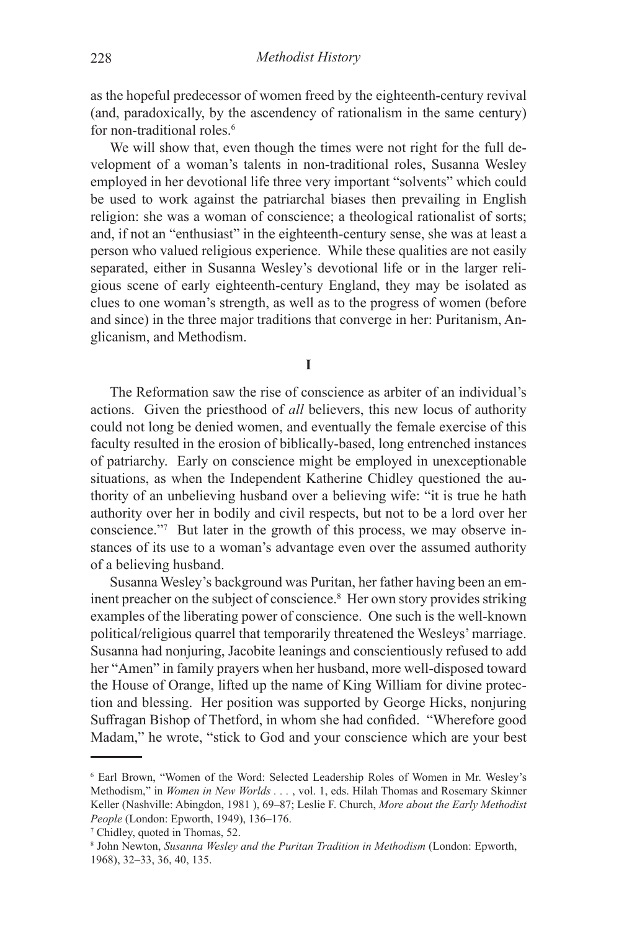as the hopeful predecessor of women freed by the eighteenth-century revival (and, paradoxically, by the ascendency of rationalism in the same century) for non-traditional roles.<sup>6</sup>

We will show that, even though the times were not right for the full development of a woman's talents in non-traditional roles, Susanna Wesley employed in her devotional life three very important "solvents" which could be used to work against the patriarchal biases then prevailing in English religion: she was a woman of conscience; a theological rationalist of sorts; and, if not an "enthusiast" in the eighteenth-century sense, she was at least a person who valued religious experience. While these qualities are not easily separated, either in Susanna Wesley's devotional life or in the larger religious scene of early eighteenth-century England, they may be isolated as clues to one woman's strength, as well as to the progress of women (before and since) in the three major traditions that converge in her: Puritanism, Anglicanism, and Methodism.

**I**

The Reformation saw the rise of conscience as arbiter of an individual's actions. Given the priesthood of *all* believers, this new locus of authority could not long be denied women, and eventually the female exercise of this faculty resulted in the erosion of biblically-based, long entrenched instances of patriarchy. Early on conscience might be employed in unexceptionable situations, as when the Independent Katherine Chidley questioned the authority of an unbelieving husband over a believing wife: "it is true he hath authority over her in bodily and civil respects, but not to be a lord over her conscience."7 But later in the growth of this process, we may observe instances of its use to a woman's advantage even over the assumed authority of a believing husband.

Susanna Wesley's background was Puritan, her father having been an eminent preacher on the subject of conscience.<sup>8</sup> Her own story provides striking examples of the liberating power of conscience. One such is the well-known political/religious quarrel that temporarily threatened the Wesleys' marriage. Susanna had nonjuring, Jacobite leanings and conscientiously refused to add her "Amen" in family prayers when her husband, more well-disposed toward the House of Orange, lifted up the name of King William for divine protection and blessing. Her position was supported by George Hicks, nonjuring Suffragan Bishop of Thetford, in whom she had confided. "Wherefore good Madam," he wrote, "stick to God and your conscience which are your best

<sup>6</sup> Earl Brown, "Women of the Word: Selected Leadership Roles of Women in Mr. Wesley's Methodism," in *Women in New Worlds . . .* , vol. 1, eds. Hilah Thomas and Rosemary Skinner Keller (Nashville: Abingdon, 1981 ), 69–87; Leslie F. Church, *More about the Early Methodist People* (London: Epworth, 1949), 136–176.

<sup>7</sup> Chidley, quoted in Thomas, 52.

<sup>8</sup> John Newton, *Susanna Wesley and the Puritan Tradition in Methodism* (London: Epworth, 1968), 32–33, 36, 40, 135.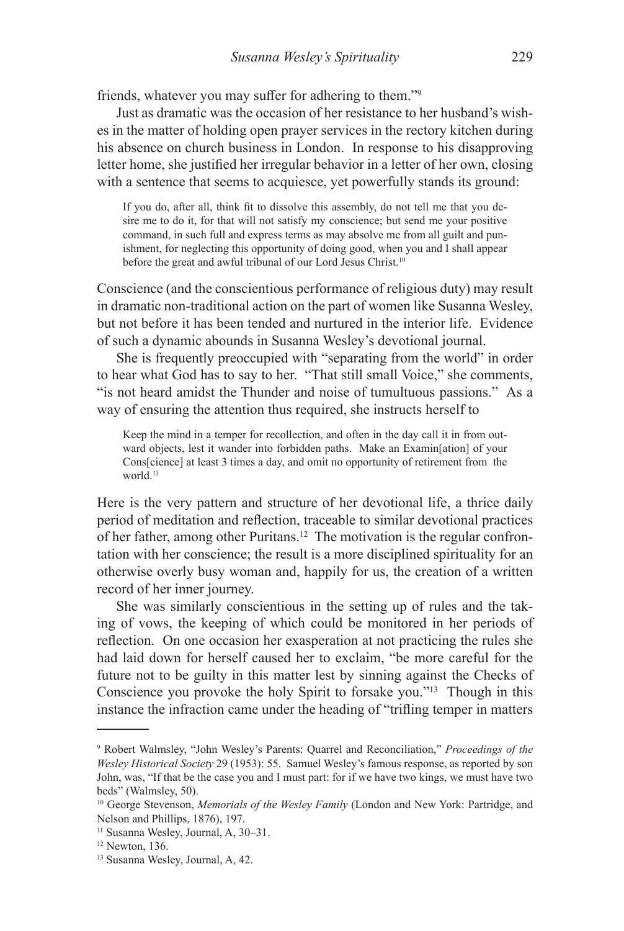friends, whatever you may suffer for adhering to them."<sup>9</sup>

Just as dramatic was the occasion of her resistance to her husband's wishes in the matter of holding open prayer services in the rectory kitchen during his absence on church business in London. In response to his disapproving letter home, she justified her irregular behavior in a letter of her own, closing with a sentence that seems to acquiesce, yet powerfully stands its ground:

If you do, after all, think fit to dissolve this assembly, do not tell me that you desire me to do it, for that will not satisfy my conscience; but send me your positive command, in such full and express terms as may absolve me from all guilt and punishment, for neglecting this opportunity of doing good, when you and I shall appear before the great and awful tribunal of our Lord Jesus Christ.<sup>10</sup>

Conscience (and the conscientious performance of religious duty) may result in dramatic non-traditional action on the part of women like Susanna Wesley, but not before it has been tended and nurtured in the interior life. Evidence of such a dynamic abounds in Susanna Wesley's devotional journal.

She is frequently preoccupied with "separating from the world" in order to hear what God has to say to her. "That still small Voice," she comments, "is not heard amidst the Thunder and noise of tumultuous passions." As a way of ensuring the attention thus required, she instructs herself to

Keep the mind in a temper for recollection, and often in the day call it in from outward objects, lest it wander into forbidden paths. Make an Examin[ation] of your Cons[cience] at least 3 times a day, and omit no opportunity of retirement from the world.<sup>11</sup>

Here is the very pattern and structure of her devotional life, a thrice daily period of meditation and reflection, traceable to similar devotional practices of her father, among other Puritans.12 The motivation is the regular confrontation with her conscience; the result is a more disciplined spirituality for an otherwise overly busy woman and, happily for us, the creation of a written record of her inner journey.

She was similarly conscientious in the setting up of rules and the taking of vows, the keeping of which could be monitored in her periods of reflection. On one occasion her exasperation at not practicing the rules she had laid down for herself caused her to exclaim, "be more careful for the future not to be guilty in this matter lest by sinning against the Checks of Conscience you provoke the holy Spirit to forsake you."13 Though in this instance the infraction came under the heading of "trifling temper in matters

<sup>9</sup> Robert Walmsley, "John Wesley's Parents: Quarrel and Reconciliation," *Proceedings of the Wesley Historical Society* 29 (1953): 55. Samuel Wesley's famous response, as reported by son John, was, "If that be the case you and I must part: for if we have two kings, we must have two beds" (Walmsley, 50).

<sup>10</sup> George Stevenson, *Memorials of the Wesley Family* (London and New York: Partridge, and Nelson and Phillips, 1876), 197.

<sup>11</sup> Susanna Wesley, Journal, A, 30–31.

 $12$  Newton, 136.

<sup>13</sup> Susanna Wesley, Journal, A, 42.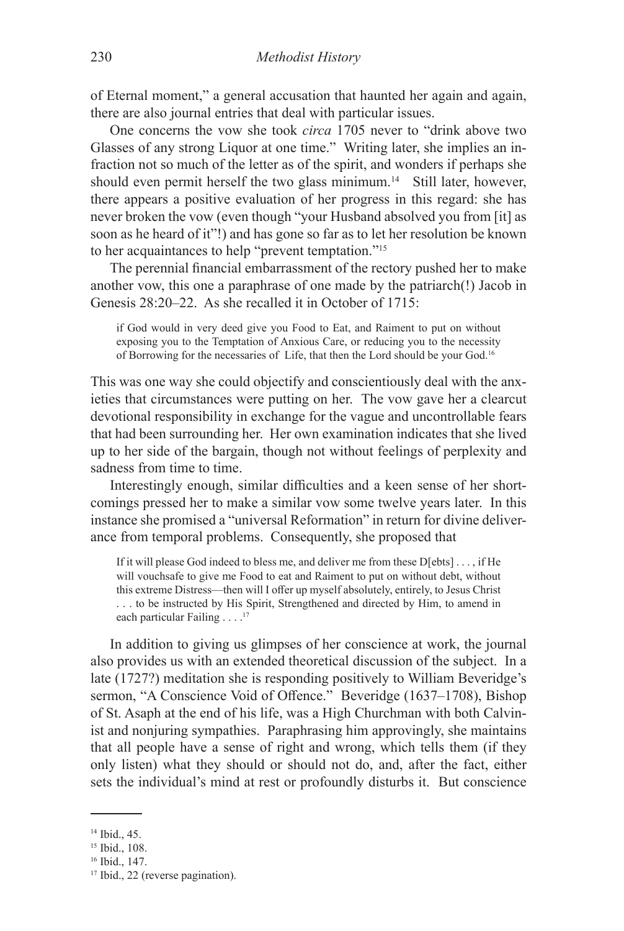of Eternal moment," a general accusation that haunted her again and again, there are also journal entries that deal with particular issues.

One concerns the vow she took *circa* 1705 never to "drink above two Glasses of any strong Liquor at one time." Writing later, she implies an infraction not so much of the letter as of the spirit, and wonders if perhaps she should even permit herself the two glass minimum.<sup>14</sup> Still later, however, there appears a positive evaluation of her progress in this regard: she has never broken the vow (even though "your Husband absolved you from [it] as soon as he heard of it"!) and has gone so far as to let her resolution be known to her acquaintances to help "prevent temptation."15

The perennial financial embarrassment of the rectory pushed her to make another vow, this one a paraphrase of one made by the patriarch(!) Jacob in Genesis 28:20–22. As she recalled it in October of 1715:

if God would in very deed give you Food to Eat, and Raiment to put on without exposing you to the Temptation of Anxious Care, or reducing you to the necessity of Borrowing for the necessaries of Life, that then the Lord should be your God.16

This was one way she could objectify and conscientiously deal with the anxieties that circumstances were putting on her. The vow gave her a clearcut devotional responsibility in exchange for the vague and uncontrollable fears that had been surrounding her. Her own examination indicates that she lived up to her side of the bargain, though not without feelings of perplexity and sadness from time to time.

Interestingly enough, similar difficulties and a keen sense of her shortcomings pressed her to make a similar vow some twelve years later. In this instance she promised a "universal Reformation" in return for divine deliverance from temporal problems. Consequently, she proposed that

If it will please God indeed to bless me, and deliver me from these D[ebts] . . . , if He will vouchsafe to give me Food to eat and Raiment to put on without debt, without this extreme Distress—then will I offer up myself absolutely, entirely, to Jesus Christ . . . to be instructed by His Spirit, Strengthened and directed by Him, to amend in each particular Failing  $\ldots$ .<sup>17</sup>

In addition to giving us glimpses of her conscience at work, the journal also provides us with an extended theoretical discussion of the subject. In a late (1727?) meditation she is responding positively to William Beveridge's sermon, "A Conscience Void of Offence." Beveridge (1637–1708), Bishop of St. Asaph at the end of his life, was a High Churchman with both Calvinist and nonjuring sympathies. Paraphrasing him approvingly, she maintains that all people have a sense of right and wrong, which tells them (if they only listen) what they should or should not do, and, after the fact, either sets the individual's mind at rest or profoundly disturbs it. But conscience

<sup>14</sup> Ibid., 45.

<sup>15</sup> Ibid., 108.

<sup>16</sup> Ibid., 147.

<sup>&</sup>lt;sup>17</sup> Ibid., 22 (reverse pagination).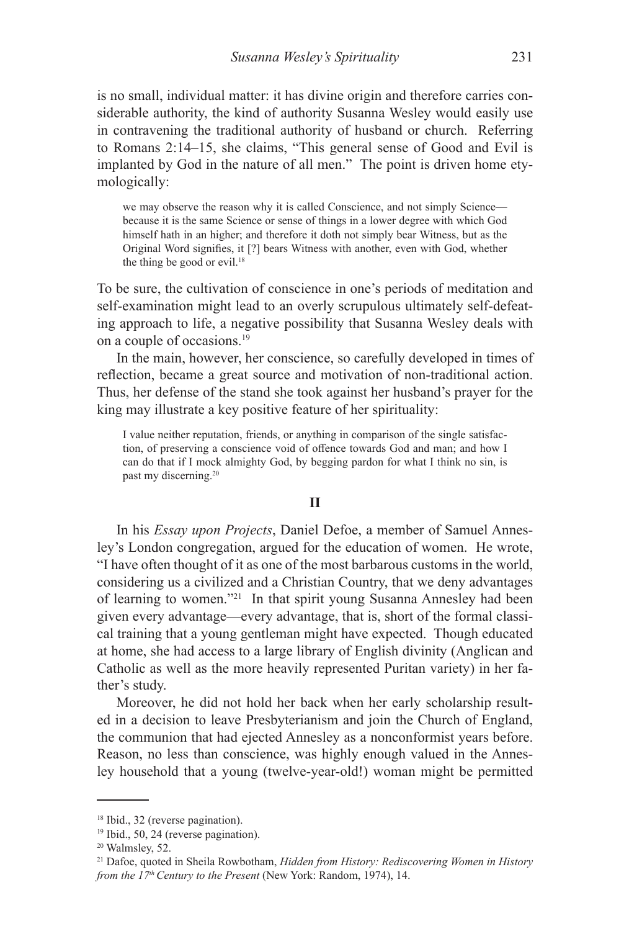is no small, individual matter: it has divine origin and therefore carries considerable authority, the kind of authority Susanna Wesley would easily use in contravening the traditional authority of husband or church. Referring to Romans 2:14–15, she claims, "This general sense of Good and Evil is implanted by God in the nature of all men." The point is driven home etymologically:

we may observe the reason why it is called Conscience, and not simply Science because it is the same Science or sense of things in a lower degree with which God himself hath in an higher; and therefore it doth not simply bear Witness, but as the Original Word signifies, it [?] bears Witness with another, even with God, whether the thing be good or evil.<sup>18</sup>

To be sure, the cultivation of conscience in one's periods of meditation and self-examination might lead to an overly scrupulous ultimately self-defeating approach to life, a negative possibility that Susanna Wesley deals with on a couple of occasions.<sup>19</sup>

In the main, however, her conscience, so carefully developed in times of reflection, became a great source and motivation of non-traditional action. Thus, her defense of the stand she took against her husband's prayer for the king may illustrate a key positive feature of her spirituality:

I value neither reputation, friends, or anything in comparison of the single satisfaction, of preserving a conscience void of offence towards God and man; and how I can do that if I mock almighty God, by begging pardon for what I think no sin, is past my discerning.<sup>20</sup>

### **II**

In his *Essay upon Projects*, Daniel Defoe, a member of Samuel Annesley's London congregation, argued for the education of women. He wrote, "I have often thought of it as one of the most barbarous customs in the world, considering us a civilized and a Christian Country, that we deny advantages of learning to women."<sup>21</sup> In that spirit young Susanna Annesley had been given every advantage—every advantage, that is, short of the formal classical training that a young gentleman might have expected. Though educated at home, she had access to a large library of English divinity (Anglican and Catholic as well as the more heavily represented Puritan variety) in her father's study.

Moreover, he did not hold her back when her early scholarship resulted in a decision to leave Presbyterianism and join the Church of England, the communion that had ejected Annesley as a nonconformist years before. Reason, no less than conscience, was highly enough valued in the Annesley household that a young (twelve-year-old!) woman might be permitted

<sup>&</sup>lt;sup>18</sup> Ibid., 32 (reverse pagination).

<sup>19</sup> Ibid., 50, 24 (reverse pagination).

<sup>20</sup> Walmsley, 52.

<sup>21</sup> Dafoe, quoted in Sheila Rowbotham, *Hidden from History: Rediscovering Women in History from the 17<sup>th</sup> Century to the Present* (New York: Random, 1974), 14.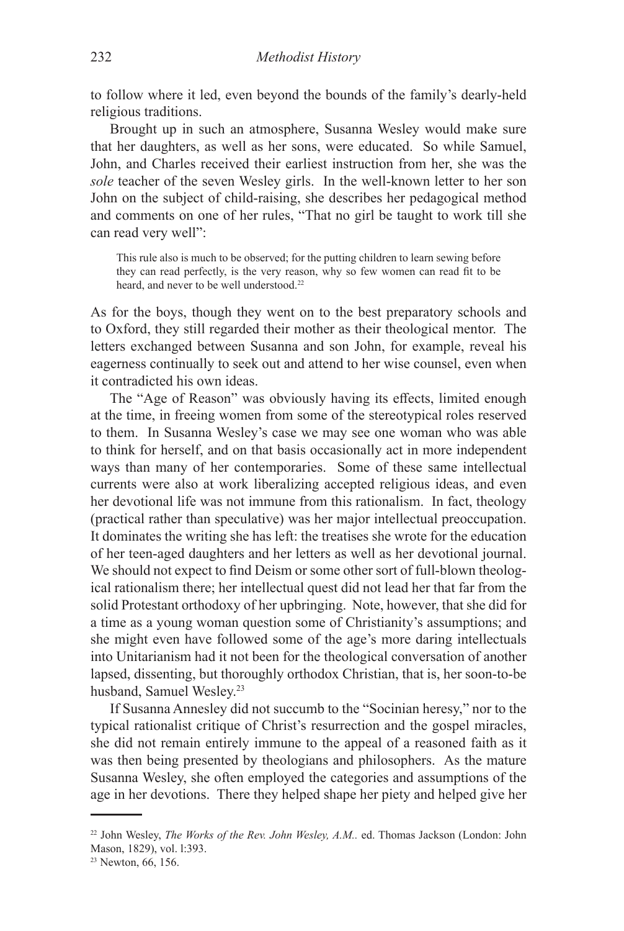to follow where it led, even beyond the bounds of the family's dearly-held religious traditions.

Brought up in such an atmosphere, Susanna Wesley would make sure that her daughters, as well as her sons, were educated. So while Samuel, John, and Charles received their earliest instruction from her, she was the *sole* teacher of the seven Wesley girls. In the well-known letter to her son John on the subject of child-raising, she describes her pedagogical method and comments on one of her rules, "That no girl be taught to work till she can read very well":

This rule also is much to be observed; for the putting children to learn sewing before they can read perfectly, is the very reason, why so few women can read fit to be heard, and never to be well understood.<sup>22</sup>

As for the boys, though they went on to the best preparatory schools and to Oxford, they still regarded their mother as their theological mentor. The letters exchanged between Susanna and son John, for example, reveal his eagerness continually to seek out and attend to her wise counsel, even when it contradicted his own ideas.

The "Age of Reason" was obviously having its effects, limited enough at the time, in freeing women from some of the stereotypical roles reserved to them. In Susanna Wesley's case we may see one woman who was able to think for herself, and on that basis occasionally act in more independent ways than many of her contemporaries. Some of these same intellectual currents were also at work liberalizing accepted religious ideas, and even her devotional life was not immune from this rationalism. In fact, theology (practical rather than speculative) was her major intellectual preoccupation. It dominates the writing she has left: the treatises she wrote for the education of her teen-aged daughters and her letters as well as her devotional journal. We should not expect to find Deism or some other sort of full-blown theological rationalism there; her intellectual quest did not lead her that far from the solid Protestant orthodoxy of her upbringing. Note, however, that she did for a time as a young woman question some of Christianity's assumptions; and she might even have followed some of the age's more daring intellectuals into Unitarianism had it not been for the theological conversation of another lapsed, dissenting, but thoroughly orthodox Christian, that is, her soon-to-be husband, Samuel Wesley.<sup>23</sup>

If Susanna Annesley did not succumb to the "Socinian heresy," nor to the typical rationalist critique of Christ's resurrection and the gospel miracles, she did not remain entirely immune to the appeal of a reasoned faith as it was then being presented by theologians and philosophers. As the mature Susanna Wesley, she often employed the categories and assumptions of the age in her devotions. There they helped shape her piety and helped give her

<sup>22</sup> John Wesley, *The Works of the Rev. John Wesley, A.M..* ed. Thomas Jackson (London: John Mason, 1829), vol. l:393.

<sup>&</sup>lt;sup>23</sup> Newton, 66, 156.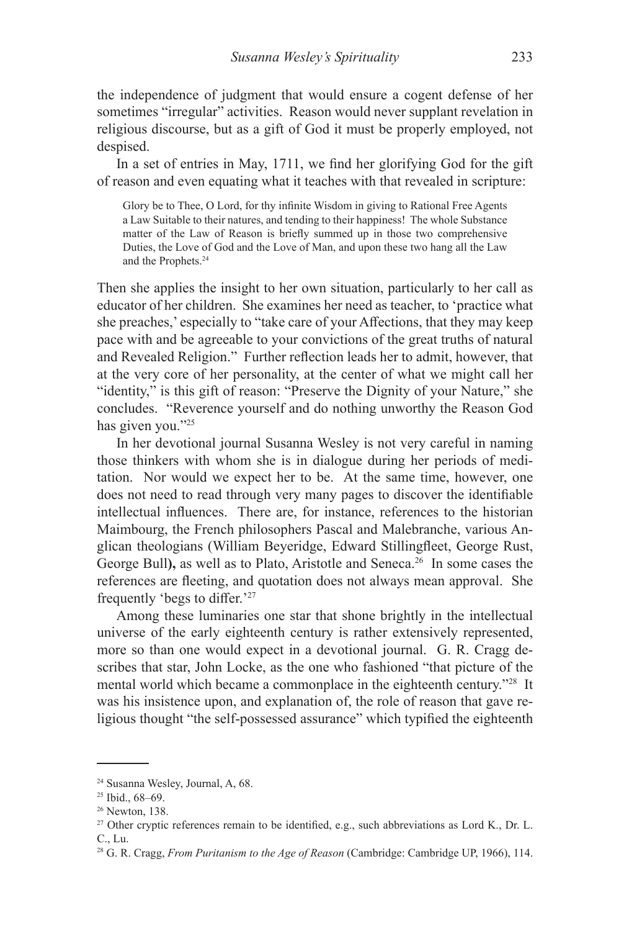the independence of judgment that would ensure a cogent defense of her sometimes "irregular" activities. Reason would never supplant revelation in religious discourse, but as a gift of God it must be properly employed, not despised.

In a set of entries in May, 1711, we find her glorifying God for the gift of reason and even equating what it teaches with that revealed in scripture:

Glory be to Thee, O Lord, for thy infinite Wisdom in giving to Rational Free Agents a Law Suitable to their natures, and tending to their happiness! The whole Substance matter of the Law of Reason is briefly summed up in those two comprehensive Duties, the Love of God and the Love of Man, and upon these two hang all the Law and the Prophets.<sup>24</sup>

Then she applies the insight to her own situation, particularly to her call as educator of her children. She examines her need as teacher, to 'practice what she preaches,' especially to "take care of your Affections, that they may keep pace with and be agreeable to your convictions of the great truths of natural and Revealed Religion." Further reflection leads her to admit, however, that at the very core of her personality, at the center of what we might call her "identity," is this gift of reason: "Preserve the Dignity of your Nature," she concludes. "Reverence yourself and do nothing unworthy the Reason God has given you."<sup>25</sup>

In her devotional journal Susanna Wesley is not very careful in naming those thinkers with whom she is in dialogue during her periods of meditation. Nor would we expect her to be. At the same time, however, one does not need to read through very many pages to discover the identifiable intellectual influences. There are, for instance, references to the historian Maimbourg, the French philosophers Pascal and Malebranche, various Anglican theologians (William Beyeridge, Edward Stillingfleet, George Rust, George Bull), as well as to Plato, Aristotle and Seneca.<sup>26</sup> In some cases the references are fleeting, and quotation does not always mean approval. She frequently 'begs to differ.'27

Among these luminaries one star that shone brightly in the intellectual universe of the early eighteenth century is rather extensively represented, more so than one would expect in a devotional journal. G. R. Cragg describes that star, John Locke, as the one who fashioned "that picture of the mental world which became a commonplace in the eighteenth century."28 It was his insistence upon, and explanation of, the role of reason that gave religious thought "the self-possessed assurance" which typified the eighteenth

<sup>24</sup> Susanna Wesley, Journal, A, 68.

<sup>25</sup> Ibid., 68–69.

<sup>26</sup> Newton, 138.

<sup>&</sup>lt;sup>27</sup> Other cryptic references remain to be identified, e.g., such abbreviations as Lord K., Dr. L. C., Lu.

<sup>28</sup> G. R. Cragg, *From Puritanism to the Age of Reason* (Cambridge: Cambridge UP, 1966), 114.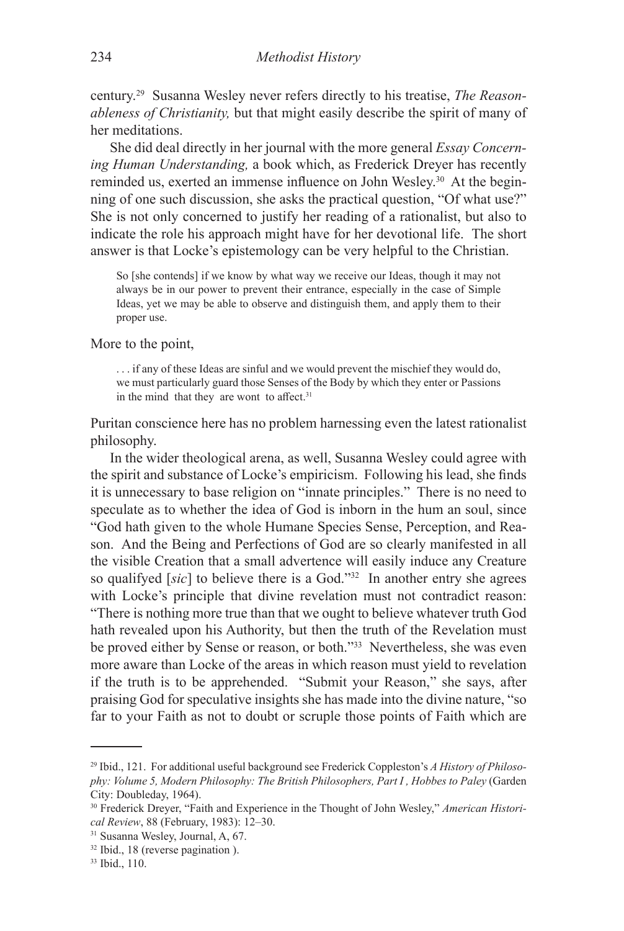century.29 Susanna Wesley never refers directly to his treatise, *The Reasonableness of Christianity,* but that might easily describe the spirit of many of her meditations.

She did deal directly in her journal with the more general *Essay Concerning Human Understanding,* a book which, as Frederick Dreyer has recently reminded us, exerted an immense influence on John Wesley.30 At the beginning of one such discussion, she asks the practical question, "Of what use?" She is not only concerned to justify her reading of a rationalist, but also to indicate the role his approach might have for her devotional life. The short answer is that Locke's epistemology can be very helpful to the Christian.

So [she contends] if we know by what way we receive our Ideas, though it may not always be in our power to prevent their entrance, especially in the case of Simple Ideas, yet we may be able to observe and distinguish them, and apply them to their proper use.

More to the point,

. . . if any of these Ideas are sinful and we would prevent the mischief they would do, we must particularly guard those Senses of the Body by which they enter or Passions in the mind that they are wont to affect.<sup>31</sup>

Puritan conscience here has no problem harnessing even the latest rationalist philosophy.

In the wider theological arena, as well, Susanna Wesley could agree with the spirit and substance of Locke's empiricism. Following his lead, she finds it is unnecessary to base religion on "innate principles." There is no need to speculate as to whether the idea of God is inborn in the hum an soul, since "God hath given to the whole Humane Species Sense, Perception, and Reason. And the Being and Perfections of God are so clearly manifested in all the visible Creation that a small advertence will easily induce any Creature so qualifyed [*sic*] to believe there is a God."32 In another entry she agrees with Locke's principle that divine revelation must not contradict reason: "There is nothing more true than that we ought to believe whatever truth God hath revealed upon his Authority, but then the truth of the Revelation must be proved either by Sense or reason, or both."33 Nevertheless, she was even more aware than Locke of the areas in which reason must yield to revelation if the truth is to be apprehended. "Submit your Reason," she says, after praising God for speculative insights she has made into the divine nature, "so far to your Faith as not to doubt or scruple those points of Faith which are

<sup>29</sup> Ibid., 121. For additional useful background see Frederick Coppleston's *A History of Philosophy: Volume 5, Modern Philosophy: The British Philosophers, Part I , Hobbes to Paley* (Garden City: Doubleday, 1964).

<sup>30</sup> Frederick Dreyer, "Faith and Experience in the Thought of John Wesley," *American Historical Review*, 88 (February, 1983): 12–30.

<sup>31</sup> Susanna Wesley, Journal, A, 67.

<sup>32</sup> Ibid., 18 (reverse pagination ).

<sup>33</sup> Ibid., 110.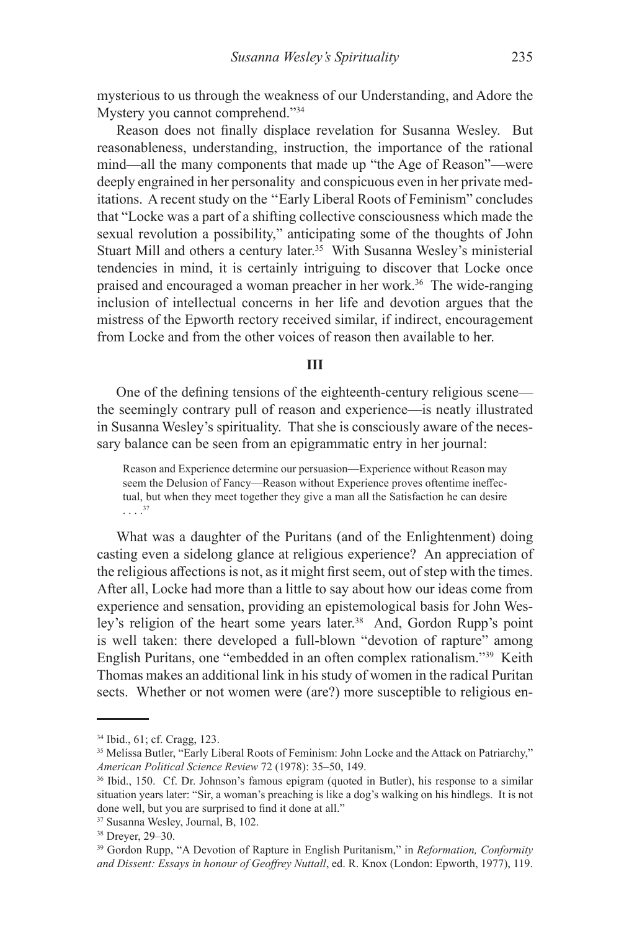mysterious to us through the weakness of our Understanding, and Adore the Mystery you cannot comprehend."34

Reason does not finally displace revelation for Susanna Wesley. But reasonableness, understanding, instruction, the importance of the rational mind—all the many components that made up "the Age of Reason"—were deeply engrained in her personality and conspicuous even in her private meditations. A recent study on the ''Early Liberal Roots of Feminism" concludes that "Locke was a part of a shifting collective consciousness which made the sexual revolution a possibility," anticipating some of the thoughts of John Stuart Mill and others a century later.<sup>35</sup> With Susanna Wesley's ministerial tendencies in mind, it is certainly intriguing to discover that Locke once praised and encouraged a woman preacher in her work.36 The wide-ranging inclusion of intellectual concerns in her life and devotion argues that the mistress of the Epworth rectory received similar, if indirect, encouragement from Locke and from the other voices of reason then available to her.

#### **III**

One of the defining tensions of the eighteenth-century religious scene the seemingly contrary pull of reason and experience—is neatly illustrated in Susanna Wesley's spirituality. That she is consciously aware of the necessary balance can be seen from an epigrammatic entry in her journal:

Reason and Experience determine our persuasion—Experience without Reason may seem the Delusion of Fancy—Reason without Experience proves oftentime ineffectual, but when they meet together they give a man all the Satisfaction he can desire . . . .<sup>37</sup>

What was a daughter of the Puritans (and of the Enlightenment) doing casting even a sidelong glance at religious experience? An appreciation of the religious affections is not, as it might first seem, out of step with the times. After all, Locke had more than a little to say about how our ideas come from experience and sensation, providing an epistemological basis for John Wesley's religion of the heart some years later.<sup>38</sup> And, Gordon Rupp's point is well taken: there developed a full-blown "devotion of rapture" among English Puritans, one "embedded in an often complex rationalism."39 Keith Thomas makes an additional link in his study of women in the radical Puritan sects. Whether or not women were (are?) more susceptible to religious en-

<sup>34</sup> Ibid., 61; cf. Cragg, 123.

<sup>&</sup>lt;sup>35</sup> Melissa Butler, "Early Liberal Roots of Feminism: John Locke and the Attack on Patriarchy," *American Political Science Review* 72 (1978): 35–50, 149.

<sup>36</sup> Ibid., 150. Cf. Dr. Johnson's famous epigram (quoted in Butler), his response to a similar situation years later: "Sir, a woman's preaching is like a dog's walking on his hindlegs. It is not done well, but you are surprised to find it done at all."

<sup>37</sup> Susanna Wesley, Journal, B, 102.

<sup>38</sup> Dreyer, 29–30.

<sup>39</sup> Gordon Rupp, "A Devotion of Rapture in English Puritanism," in *Reformation, Conformity and Dissent: Essays in honour of Geoffrey Nuttall*, ed. R. Knox (London: Epworth, 1977), 119.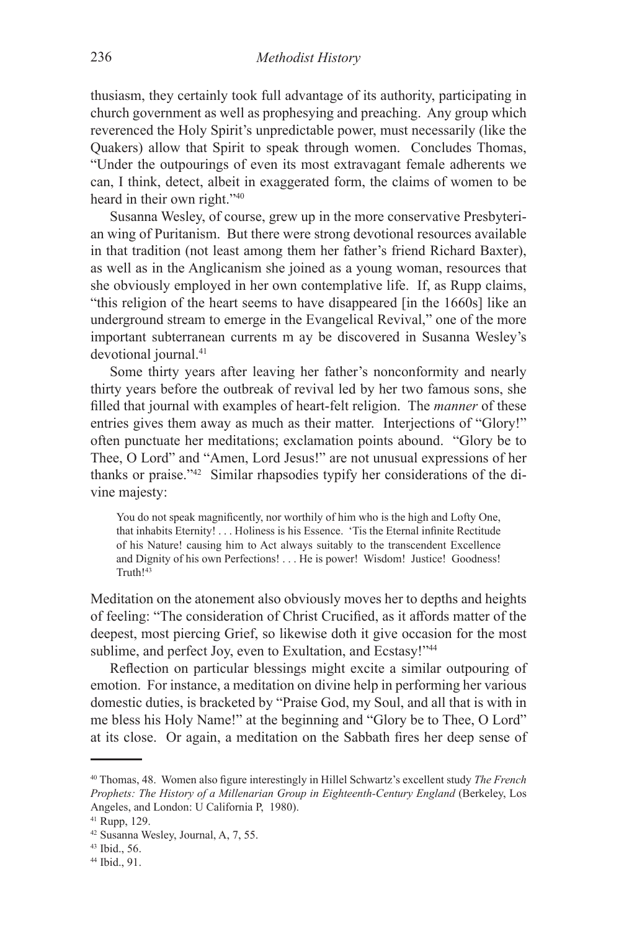thusiasm, they certainly took full advantage of its authority, participating in church government as well as prophesying and preaching. Any group which reverenced the Holy Spirit's unpredictable power, must necessarily (like the Quakers) allow that Spirit to speak through women. Concludes Thomas, "Under the outpourings of even its most extravagant female adherents we can, I think, detect, albeit in exaggerated form, the claims of women to be heard in their own right."<sup>40</sup>

Susanna Wesley, of course, grew up in the more conservative Presbyterian wing of Puritanism. But there were strong devotional resources available in that tradition (not least among them her father's friend Richard Baxter), as well as in the Anglicanism she joined as a young woman, resources that she obviously employed in her own contemplative life. If, as Rupp claims, "this religion of the heart seems to have disappeared [in the 1660s] like an underground stream to emerge in the Evangelical Revival," one of the more important subterranean currents m ay be discovered in Susanna Wesley's devotional journal.<sup>41</sup>

Some thirty years after leaving her father's nonconformity and nearly thirty years before the outbreak of revival led by her two famous sons, she filled that journal with examples of heart-felt religion. The *manner* of these entries gives them away as much as their matter. Interjections of "Glory!" often punctuate her meditations; exclamation points abound. "Glory be to Thee, O Lord" and "Amen, Lord Jesus!" are not unusual expressions of her thanks or praise."42 Similar rhapsodies typify her considerations of the divine majesty:

You do not speak magnificently, nor worthily of him who is the high and Lofty One, that inhabits Eternity! . . . Holiness is his Essence. 'Tis the Eternal infinite Rectitude of his Nature! causing him to Act always suitably to the transcendent Excellence and Dignity of his own Perfections! . . . He is power! Wisdom! Justice! Goodness! Truth!<sup>43</sup>

Meditation on the atonement also obviously moves her to depths and heights of feeling: "The consideration of Christ Crucified, as it affords matter of the deepest, most piercing Grief, so likewise doth it give occasion for the most sublime, and perfect Joy, even to Exultation, and Ecstasy!"<sup>44</sup>

Reflection on particular blessings might excite a similar outpouring of emotion. For instance, a meditation on divine help in performing her various domestic duties, is bracketed by "Praise God, my Soul, and all that is with in me bless his Holy Name!" at the beginning and "Glory be to Thee, O Lord" at its close. Or again, a meditation on the Sabbath fires her deep sense of

<sup>40</sup> Thomas, 48. Women also figure interestingly in Hillel Schwartz's excellent study *The French Prophets: The History of a Millenarian Group in Eighteenth-Century England (Berkeley, Los* Angeles, and London: U California P, 1980).

<sup>41</sup> Rupp, 129.

<sup>42</sup> Susanna Wesley, Journal, A, 7, 55.

<sup>43</sup> Ibid., 56.

<sup>44</sup> Ibid., 91.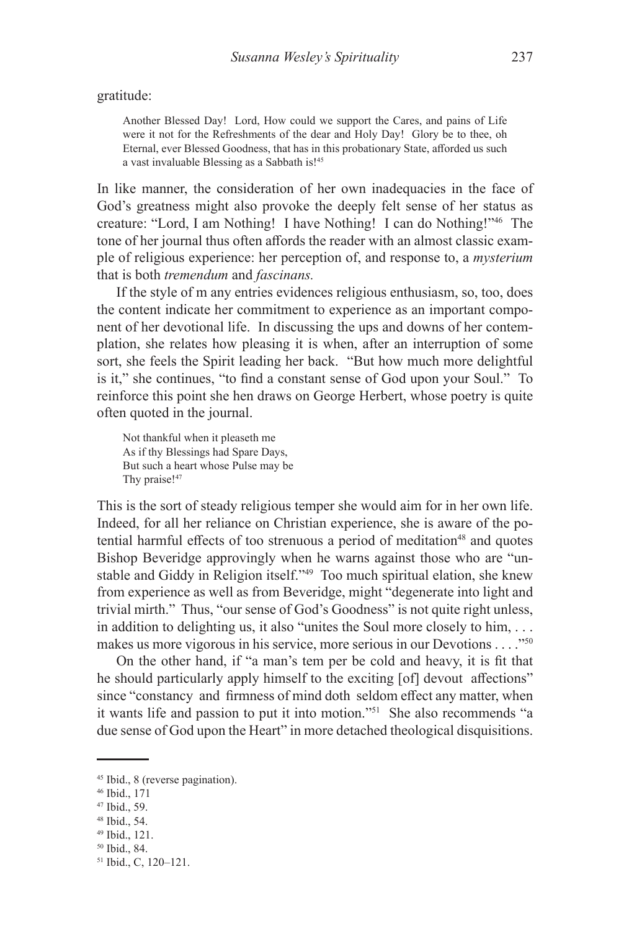gratitude:

Another Blessed Day! Lord, How could we support the Cares, and pains of Life were it not for the Refreshments of the dear and Holy Day! Glory be to thee, oh Eternal, ever Blessed Goodness, that has in this probationary State, afforded us such a vast invaluable Blessing as a Sabbath is!45

In like manner, the consideration of her own inadequacies in the face of God's greatness might also provoke the deeply felt sense of her status as creature: "Lord, I am Nothing! I have Nothing! I can do Nothing!"46 The tone of her journal thus often affords the reader with an almost classic example of religious experience: her perception of, and response to, a *mysterium*  that is both *tremendum* and *fascinans.*

If the style of m any entries evidences religious enthusiasm, so, too, does the content indicate her commitment to experience as an important component of her devotional life. In discussing the ups and downs of her contemplation, she relates how pleasing it is when, after an interruption of some sort, she feels the Spirit leading her back. "But how much more delightful is it," she continues, "to find a constant sense of God upon your Soul." To reinforce this point she hen draws on George Herbert, whose poetry is quite often quoted in the journal.

Not thankful when it pleaseth me As if thy Blessings had Spare Days, But such a heart whose Pulse may be Thy praise!<sup>47</sup>

This is the sort of steady religious temper she would aim for in her own life. Indeed, for all her reliance on Christian experience, she is aware of the potential harmful effects of too strenuous a period of meditation<sup>48</sup> and quotes Bishop Beveridge approvingly when he warns against those who are "unstable and Giddy in Religion itself."<sup>49</sup> Too much spiritual elation, she knew from experience as well as from Beveridge, might "degenerate into light and trivial mirth." Thus, "our sense of God's Goodness" is not quite right unless, in addition to delighting us, it also "unites the Soul more closely to him, . . . makes us more vigorous in his service, more serious in our Devotions . . . ."50

On the other hand, if "a man's tem per be cold and heavy, it is fit that he should particularly apply himself to the exciting [of] devout affections" since "constancy and firmness of mind doth seldom effect any matter, when it wants life and passion to put it into motion."51 She also recommends "a due sense of God upon the Heart" in more detached theological disquisitions.

<sup>45</sup> Ibid., 8 (reverse pagination).

<sup>46</sup> Ibid., 171

<sup>47</sup> Ibid., 59.

<sup>48</sup> Ibid., 54.

<sup>49</sup> Ibid., 121.

<sup>50</sup> Ibid., 84.

<sup>51</sup> Ibid., C, 120–121.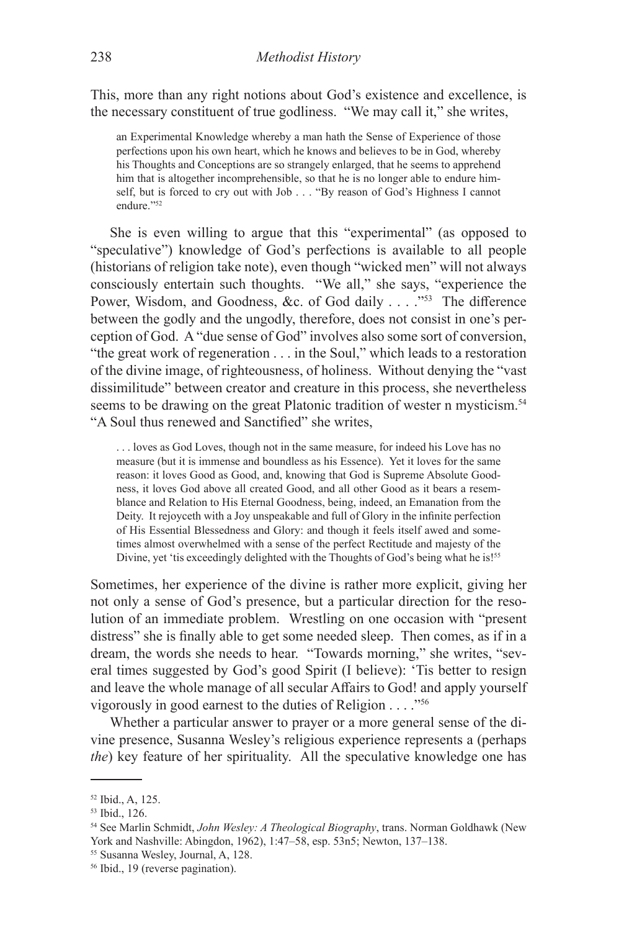This, more than any right notions about God's existence and excellence, is the necessary constituent of true godliness. "We may call it," she writes,

an Experimental Knowledge whereby a man hath the Sense of Experience of those perfections upon his own heart, which he knows and believes to be in God, whereby his Thoughts and Conceptions are so strangely enlarged, that he seems to apprehend him that is altogether incomprehensible, so that he is no longer able to endure himself, but is forced to cry out with Job . . . "By reason of God's Highness I cannot endure."52

She is even willing to argue that this "experimental" (as opposed to "speculative") knowledge of God's perfections is available to all people (historians of religion take note), even though "wicked men" will not always consciously entertain such thoughts. "We all," she says, "experience the Power, Wisdom, and Goodness, &c. of God daily . . . . "<sup>53</sup> The difference between the godly and the ungodly, therefore, does not consist in one's perception of God. A "due sense of God" involves also some sort of conversion, "the great work of regeneration . . . in the Soul," which leads to a restoration of the divine image, of righteousness, of holiness. Without denying the "vast dissimilitude" between creator and creature in this process, she nevertheless seems to be drawing on the great Platonic tradition of wester n mysticism.<sup>54</sup> "A Soul thus renewed and Sanctified" she writes,

. . . loves as God Loves, though not in the same measure, for indeed his Love has no measure (but it is immense and boundless as his Essence). Yet it loves for the same reason: it loves Good as Good, and, knowing that God is Supreme Absolute Goodness, it loves God above all created Good, and all other Good as it bears a resemblance and Relation to His Eternal Goodness, being, indeed, an Emanation from the Deity. It rejoyceth with a Joy unspeakable and full of Glory in the infinite perfection of His Essential Blessedness and Glory: and though it feels itself awed and sometimes almost overwhelmed with a sense of the perfect Rectitude and majesty of the Divine, yet 'tis exceedingly delighted with the Thoughts of God's being what he is!<sup>55</sup>

Sometimes, her experience of the divine is rather more explicit, giving her not only a sense of God's presence, but a particular direction for the resolution of an immediate problem. Wrestling on one occasion with "present distress" she is finally able to get some needed sleep. Then comes, as if in a dream, the words she needs to hear. "Towards morning," she writes, "several times suggested by God's good Spirit (I believe): 'Tis better to resign and leave the whole manage of all secular Affairs to God! and apply yourself vigorously in good earnest to the duties of Religion . . . ."56

Whether a particular answer to prayer or a more general sense of the divine presence, Susanna Wesley's religious experience represents a (perhaps *the*) key feature of her spirituality. All the speculative knowledge one has

<sup>52</sup> Ibid., A, 125.

<sup>53</sup> Ibid., 126.

<sup>54</sup> See Marlin Schmidt, *John Wesley: A Theological Biography*, trans. Norman Goldhawk (New York and Nashville: Abingdon, 1962), 1:47–58, esp. 53n5; Newton, 137–138.

<sup>55</sup> Susanna Wesley, Journal, A, 128.

<sup>56</sup> Ibid., 19 (reverse pagination).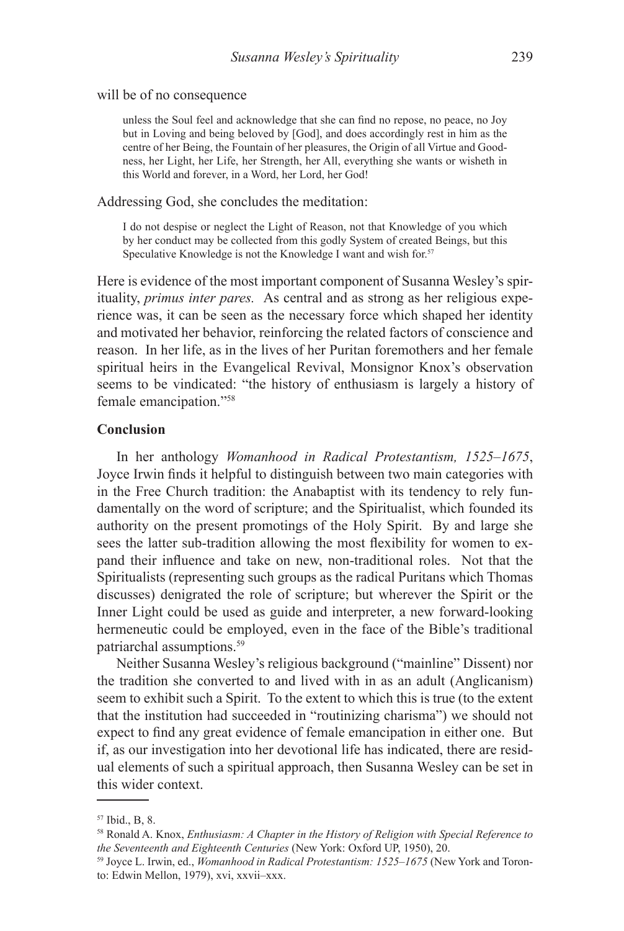### will be of no consequence

unless the Soul feel and acknowledge that she can find no repose, no peace, no Joy but in Loving and being beloved by [God], and does accordingly rest in him as the centre of her Being, the Fountain of her pleasures, the Origin of all Virtue and Goodness, her Light, her Life, her Strength, her All, everything she wants or wisheth in this World and forever, in a Word, her Lord, her God!

#### Addressing God, she concludes the meditation:

I do not despise or neglect the Light of Reason, not that Knowledge of you which by her conduct may be collected from this godly System of created Beings, but this Speculative Knowledge is not the Knowledge I want and wish for.<sup>57</sup>

Here is evidence of the most important component of Susanna Wesley's spirituality, *primus inter pares.* As central and as strong as her religious experience was, it can be seen as the necessary force which shaped her identity and motivated her behavior, reinforcing the related factors of conscience and reason. In her life, as in the lives of her Puritan foremothers and her female spiritual heirs in the Evangelical Revival, Monsignor Knox's observation seems to be vindicated: "the history of enthusiasm is largely a history of female emancipation."58

## **Conclusion**

In her anthology *Womanhood in Radical Protestantism, 1525–1675*, Joyce Irwin finds it helpful to distinguish between two main categories with in the Free Church tradition: the Anabaptist with its tendency to rely fundamentally on the word of scripture; and the Spiritualist, which founded its authority on the present promotings of the Holy Spirit. By and large she sees the latter sub-tradition allowing the most flexibility for women to expand their influence and take on new, non-traditional roles. Not that the Spiritualists (representing such groups as the radical Puritans which Thomas discusses) denigrated the role of scripture; but wherever the Spirit or the Inner Light could be used as guide and interpreter, a new forward-looking hermeneutic could be employed, even in the face of the Bible's traditional patriarchal assumptions.59

Neither Susanna Wesley's religious background ("mainline" Dissent) nor the tradition she converted to and lived with in as an adult (Anglicanism) seem to exhibit such a Spirit. To the extent to which this is true (to the extent that the institution had succeeded in "routinizing charisma") we should not expect to find any great evidence of female emancipation in either one. But if, as our investigation into her devotional life has indicated, there are residual elements of such a spiritual approach, then Susanna Wesley can be set in this wider context.

<sup>57</sup> Ibid., B, 8.

<sup>58</sup> Ronald A. Knox, *Enthusiasm: A Chapter in the History of Religion with Special Reference to the Seventeenth and Eighteenth Centuries* (New York: Oxford UP, 1950), 20.

<sup>59</sup> Joyce L. Irwin, ed., *Womanhood in Radical Protestantism: 1525–1675* (New York and Toronto: Edwin Mellon, 1979), xvi, xxvii–xxx.